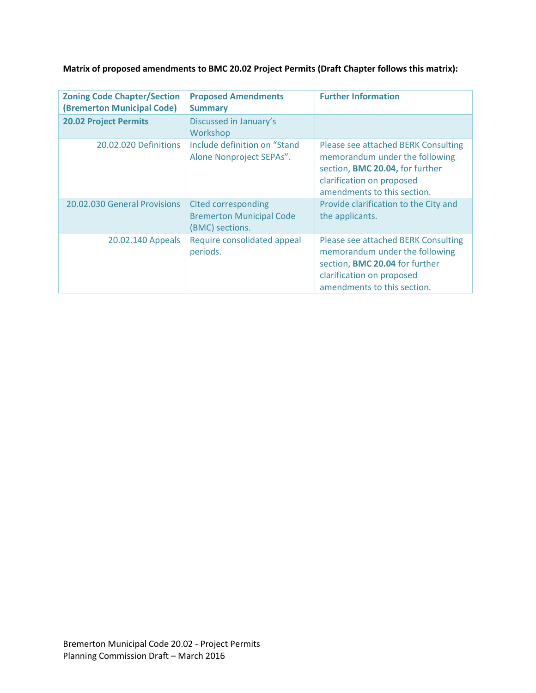# **Matrix of proposed amendments to BMC 20.02 Project Permits (Draft Chapter follows this matrix):**

| <b>Zoning Code Chapter/Section</b><br>(Bremerton Municipal Code) | <b>Proposed Amendments</b><br><b>Summary</b>                                     | <b>Further Information</b>                                                                                                                                           |
|------------------------------------------------------------------|----------------------------------------------------------------------------------|----------------------------------------------------------------------------------------------------------------------------------------------------------------------|
| <b>20.02 Project Permits</b>                                     | Discussed in January's<br>Workshop                                               |                                                                                                                                                                      |
| 20.02.020 Definitions                                            | Include definition on "Stand<br>Alone Nonproject SEPAs".                         | Please see attached BERK Consulting<br>memorandum under the following<br>section, BMC 20.04, for further<br>clarification on proposed<br>amendments to this section. |
| 20.02.030 General Provisions                                     | <b>Cited corresponding</b><br><b>Bremerton Municipal Code</b><br>(BMC) sections. | Provide clarification to the City and<br>the applicants.                                                                                                             |
| 20.02.140 Appeals                                                | Require consolidated appeal<br>periods.                                          | Please see attached BERK Consulting<br>memorandum under the following<br>section, BMC 20.04 for further<br>clarification on proposed<br>amendments to this section.  |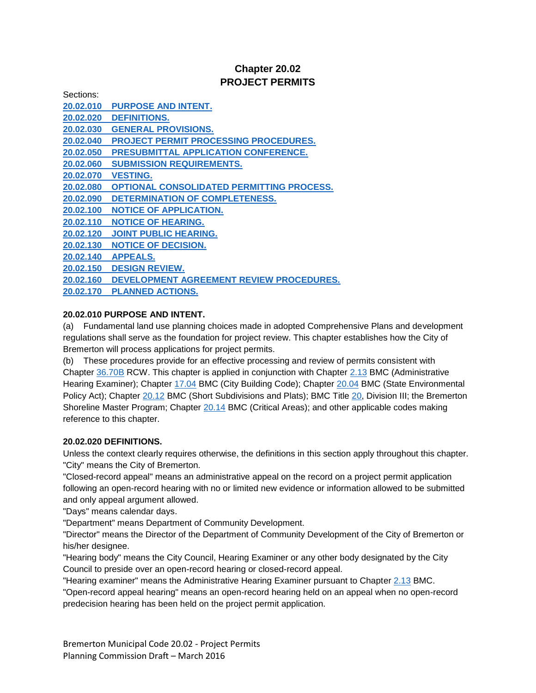# **Chapter 20.02 PROJECT PERMITS**

| Sections: |                                              |
|-----------|----------------------------------------------|
| 20.02.010 | <b>PURPOSE AND INTENT.</b>                   |
| 20.02.020 | <b>DEFINITIONS.</b>                          |
| 20.02.030 | <b>GENERAL PROVISIONS.</b>                   |
| 20.02.040 | <b>PROJECT PERMIT PROCESSING PROCEDURES.</b> |
| 20.02.050 | PRESUBMITTAL APPLICATION CONFERENCE.         |
| 20.02.060 | <b>SUBMISSION REQUIREMENTS.</b>              |
| 20.02.070 | <b>VESTING.</b>                              |
| 20.02.080 | OPTIONAL CONSOLIDATED PERMITTING PROCESS.    |
| 20.02.090 | <b>DETERMINATION OF COMPLETENESS.</b>        |
| 20.02.100 | <b>NOTICE OF APPLICATION.</b>                |
| 20.02.110 | <b>NOTICE OF HEARING.</b>                    |
| 20.02.120 | <b>JOINT PUBLIC HEARING.</b>                 |
| 20.02.130 | <b>NOTICE OF DECISION.</b>                   |
| 20.02.140 | <b>APPEALS.</b>                              |
| 20.02.150 | <b>DESIGN REVIEW.</b>                        |
| 20.02.160 | DEVELOPMENT AGREEMENT REVIEW PROCEDURES.     |
| 20.02.170 | <b>PLANNED ACTIONS.</b>                      |
|           |                                              |

# **20.02.010 PURPOSE AND INTENT.**

(a) Fundamental land use planning choices made in adopted Comprehensive Plans and development regulations shall serve as the foundation for project review. This chapter establishes how the City of Bremerton will process applications for project permits.

(b) These procedures provide for an effective processing and review of permits consistent with Chapter [36.70B](http://www.codepublishing.com/cgi-bin/rcw.pl?cite=36.70B) RCW. This chapter is applied in conjunction with Chapter [2.13](http://www.codepublishing.com/wa/Bremerton/html/Bremerton02/Bremerton0213.html#2.13) BMC (Administrative Hearing Examiner); Chapter [17.04](http://www.codepublishing.com/wa/Bremerton/html/Bremerton17/Bremerton1704.html#17.04) BMC (City Building Code); Chapter [20.04](http://www.codepublishing.com/wa/Bremerton/html/Bremerton20/Bremerton2004.html#20.04) BMC (State Environmental Policy Act); Chapter [20.12](http://www.codepublishing.com/wa/Bremerton/html/Bremerton20/Bremerton2012.html#20.12) BMC (Short Subdivisions and Plats); BMC Title [20,](http://www.codepublishing.com/wa/Bremerton/html/Bremerton20/Bremerton20.html#20) Division III; the Bremerton Shoreline Master Program; Chapter [20.14](http://www.codepublishing.com/wa/Bremerton/html/Bremerton20/Bremerton2014.html#20.14) BMC (Critical Areas); and other applicable codes making reference to this chapter.

# **20.02.020 DEFINITIONS.**

Unless the context clearly requires otherwise, the definitions in this section apply throughout this chapter. "City" means the City of Bremerton.

"Closed-record appeal" means an administrative appeal on the record on a project permit application following an open-record hearing with no or limited new evidence or information allowed to be submitted and only appeal argument allowed.

"Days" means calendar days.

"Department" means Department of Community Development.

"Director" means the Director of the Department of Community Development of the City of Bremerton or his/her designee.

"Hearing body" means the City Council, Hearing Examiner or any other body designated by the City Council to preside over an open-record hearing or closed-record appeal.

"Hearing examiner" means the Administrative Hearing Examiner pursuant to Chapter [2.13](http://www.codepublishing.com/wa/Bremerton/html/Bremerton02/Bremerton0213.html#2.13) BMC.

"Open-record appeal hearing" means an open-record hearing held on an appeal when no open-record predecision hearing has been held on the project permit application.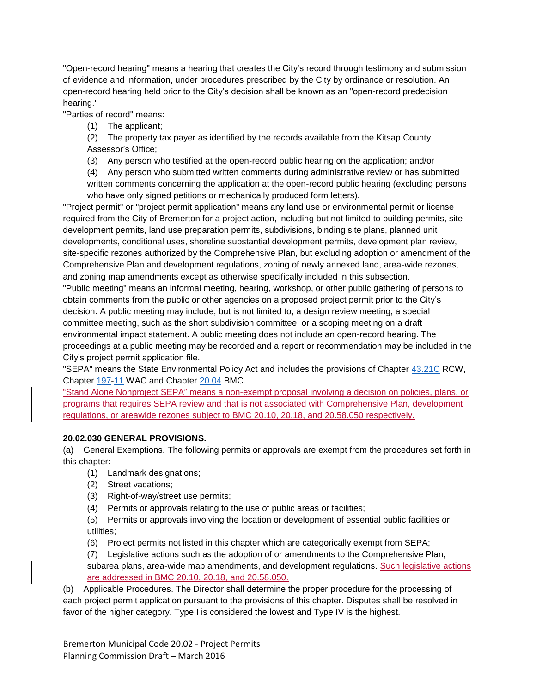"Open-record hearing" means a hearing that creates the City's record through testimony and submission of evidence and information, under procedures prescribed by the City by ordinance or resolution. An open-record hearing held prior to the City's decision shall be known as an "open-record predecision hearing."

"Parties of record" means:

(1) The applicant;

(2) The property tax payer as identified by the records available from the Kitsap County Assessor's Office;

(3) Any person who testified at the open-record public hearing on the application; and/or

(4) Any person who submitted written comments during administrative review or has submitted

written comments concerning the application at the open-record public hearing (excluding persons who have only signed petitions or mechanically produced form letters).

"Project permit" or "project permit application" means any land use or environmental permit or license required from the City of Bremerton for a project action, including but not limited to building permits, site development permits, land use preparation permits, subdivisions, binding site plans, planned unit developments, conditional uses, shoreline substantial development permits, development plan review, site-specific rezones authorized by the Comprehensive Plan, but excluding adoption or amendment of the Comprehensive Plan and development regulations, zoning of newly annexed land, area-wide rezones, and zoning map amendments except as otherwise specifically included in this subsection.

"Public meeting" means an informal meeting, hearing, workshop, or other public gathering of persons to obtain comments from the public or other agencies on a proposed project permit prior to the City's decision. A public meeting may include, but is not limited to, a design review meeting, a special committee meeting, such as the short subdivision committee, or a scoping meeting on a draft environmental impact statement. A public meeting does not include an open-record hearing. The proceedings at a public meeting may be recorded and a report or recommendation may be included in the City's project permit application file.

"SEPA" means the State Environmental Policy Act and includes the provisions of Chapter [43.21C](http://www.codepublishing.com/cgi-bin/rcw.pl?cite=43.21C) RCW, Chapter [197](http://www.codepublishing.com/cgi-bin/wac.pl?cite=197)[-11](http://www.codepublishing.com/cgi-bin/wac.pl?cite=11) WAC and Chapter [20.04](http://www.codepublishing.com/wa/Bremerton/html/Bremerton20/Bremerton2004.html#20.04) BMC.

"Stand Alone Nonproject SEPA" means a non-exempt proposal involving a decision on policies, plans, or programs that requires SEPA review and that is not associated with Comprehensive Plan, development regulations, or areawide rezones subject to BMC 20.10, 20.18, and 20.58.050 respectively.

#### **20.02.030 GENERAL PROVISIONS.**

(a) General Exemptions. The following permits or approvals are exempt from the procedures set forth in this chapter:

- (1) Landmark designations;
- (2) Street vacations;
- (3) Right-of-way/street use permits;
- (4) Permits or approvals relating to the use of public areas or facilities;

(5) Permits or approvals involving the location or development of essential public facilities or utilities;

(6) Project permits not listed in this chapter which are categorically exempt from SEPA;

(7) Legislative actions such as the adoption of or amendments to the Comprehensive Plan, subarea plans, area-wide map amendments, and development regulations. Such legislative actions are addressed in BMC 20.10, 20.18, and 20.58.050.

(b) Applicable Procedures. The Director shall determine the proper procedure for the processing of each project permit application pursuant to the provisions of this chapter. Disputes shall be resolved in favor of the higher category. Type I is considered the lowest and Type IV is the highest.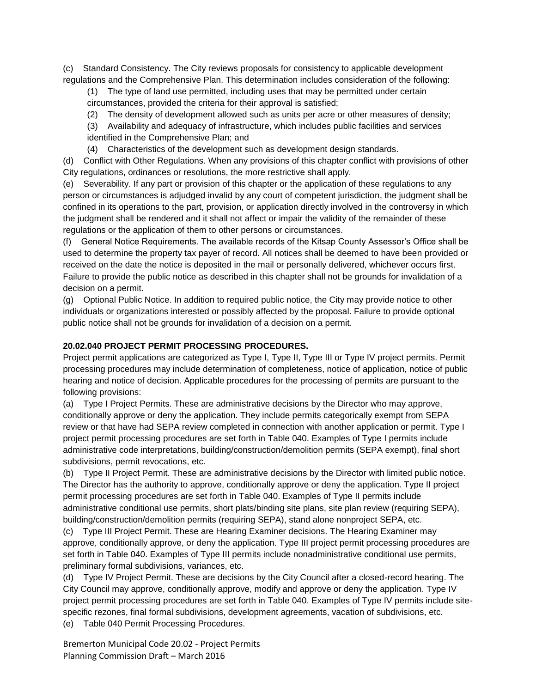(c) Standard Consistency. The City reviews proposals for consistency to applicable development regulations and the Comprehensive Plan. This determination includes consideration of the following:

(1) The type of land use permitted, including uses that may be permitted under certain circumstances, provided the criteria for their approval is satisfied;

(2) The density of development allowed such as units per acre or other measures of density;

(3) Availability and adequacy of infrastructure, which includes public facilities and services identified in the Comprehensive Plan; and

(4) Characteristics of the development such as development design standards.

(d) Conflict with Other Regulations. When any provisions of this chapter conflict with provisions of other City regulations, ordinances or resolutions, the more restrictive shall apply.

(e) Severability. If any part or provision of this chapter or the application of these regulations to any person or circumstances is adjudged invalid by any court of competent jurisdiction, the judgment shall be confined in its operations to the part, provision, or application directly involved in the controversy in which the judgment shall be rendered and it shall not affect or impair the validity of the remainder of these regulations or the application of them to other persons or circumstances.

(f) General Notice Requirements. The available records of the Kitsap County Assessor's Office shall be used to determine the property tax payer of record. All notices shall be deemed to have been provided or received on the date the notice is deposited in the mail or personally delivered, whichever occurs first. Failure to provide the public notice as described in this chapter shall not be grounds for invalidation of a decision on a permit.

(g) Optional Public Notice. In addition to required public notice, the City may provide notice to other individuals or organizations interested or possibly affected by the proposal. Failure to provide optional public notice shall not be grounds for invalidation of a decision on a permit.

### **20.02.040 PROJECT PERMIT PROCESSING PROCEDURES.**

Project permit applications are categorized as Type I, Type II, Type III or Type IV project permits. Permit processing procedures may include determination of completeness, notice of application, notice of public hearing and notice of decision. Applicable procedures for the processing of permits are pursuant to the following provisions:

(a) Type I Project Permits. These are administrative decisions by the Director who may approve, conditionally approve or deny the application. They include permits categorically exempt from SEPA review or that have had SEPA review completed in connection with another application or permit. Type I project permit processing procedures are set forth in Table 040. Examples of Type I permits include administrative code interpretations, building/construction/demolition permits (SEPA exempt), final short subdivisions, permit revocations, etc.

(b) Type II Project Permit. These are administrative decisions by the Director with limited public notice. The Director has the authority to approve, conditionally approve or deny the application. Type II project permit processing procedures are set forth in Table 040. Examples of Type II permits include administrative conditional use permits, short plats/binding site plans, site plan review (requiring SEPA), building/construction/demolition permits (requiring SEPA), stand alone nonproject SEPA, etc.

(c) Type III Project Permit. These are Hearing Examiner decisions. The Hearing Examiner may approve, conditionally approve, or deny the application. Type III project permit processing procedures are set forth in Table 040. Examples of Type III permits include nonadministrative conditional use permits, preliminary formal subdivisions, variances, etc.

(d) Type IV Project Permit. These are decisions by the City Council after a closed-record hearing. The City Council may approve, conditionally approve, modify and approve or deny the application. Type IV project permit processing procedures are set forth in Table 040. Examples of Type IV permits include sitespecific rezones, final formal subdivisions, development agreements, vacation of subdivisions, etc. (e) Table 040 Permit Processing Procedures.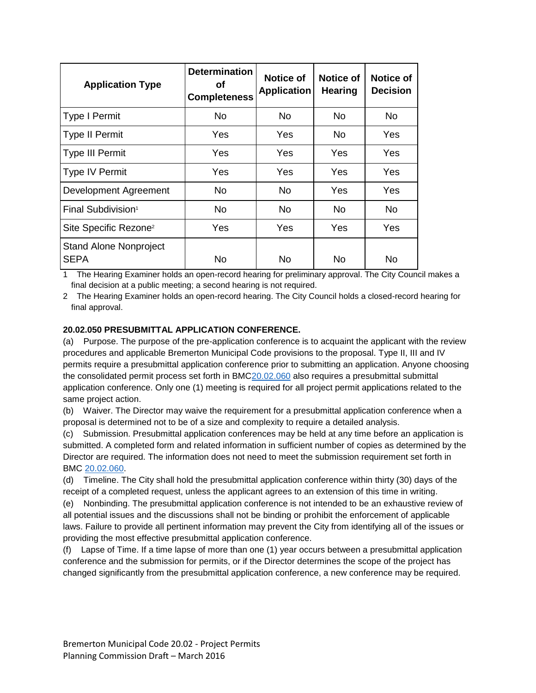| <b>Application Type</b>                      | <b>Determination</b><br>οf<br><b>Completeness</b> | <b>Notice of</b><br><b>Application</b> | Notice of<br><b>Hearing</b> | <b>Notice of</b><br><b>Decision</b> |
|----------------------------------------------|---------------------------------------------------|----------------------------------------|-----------------------------|-------------------------------------|
| <b>Type I Permit</b>                         | No.                                               | No.                                    | No.                         | No.                                 |
| <b>Type II Permit</b>                        | Yes                                               | Yes                                    | No.                         | Yes                                 |
| <b>Type III Permit</b>                       | Yes                                               | Yes                                    | Yes                         | Yes                                 |
| <b>Type IV Permit</b>                        | Yes                                               | Yes                                    | Yes                         | Yes                                 |
| Development Agreement                        | No                                                | No.                                    | Yes                         | Yes                                 |
| Final Subdivision <sup>1</sup>               | No.                                               | No.                                    | No.                         | No.                                 |
| Site Specific Rezone <sup>2</sup>            | Yes                                               | Yes                                    | Yes                         | Yes                                 |
| <b>Stand Alone Nonproject</b><br><b>SEPA</b> | No                                                | No                                     | No                          | No                                  |

1 The Hearing Examiner holds an open-record hearing for preliminary approval. The City Council makes a final decision at a public meeting; a second hearing is not required.

2 The Hearing Examiner holds an open-record hearing. The City Council holds a closed-record hearing for final approval.

## **20.02.050 PRESUBMITTAL APPLICATION CONFERENCE.**

(a) Purpose. The purpose of the pre-application conference is to acquaint the applicant with the review procedures and applicable Bremerton Municipal Code provisions to the proposal. Type II, III and IV permits require a presubmittal application conference prior to submitting an application. Anyone choosing the consolidated permit process set forth in BM[C20.02.060](http://www.codepublishing.com/wa/Bremerton/html/Bremerton20/Bremerton2002.html#20.02.060) also requires a presubmittal submittal application conference. Only one (1) meeting is required for all project permit applications related to the same project action.

(b) Waiver. The Director may waive the requirement for a presubmittal application conference when a proposal is determined not to be of a size and complexity to require a detailed analysis.

(c) Submission. Presubmittal application conferences may be held at any time before an application is submitted. A completed form and related information in sufficient number of copies as determined by the Director are required. The information does not need to meet the submission requirement set forth in BMC [20.02.060.](http://www.codepublishing.com/wa/Bremerton/html/Bremerton20/Bremerton2002.html#20.02.060)

(d) Timeline. The City shall hold the presubmittal application conference within thirty (30) days of the receipt of a completed request, unless the applicant agrees to an extension of this time in writing.

(e) Nonbinding. The presubmittal application conference is not intended to be an exhaustive review of all potential issues and the discussions shall not be binding or prohibit the enforcement of applicable laws. Failure to provide all pertinent information may prevent the City from identifying all of the issues or providing the most effective presubmittal application conference.

(f) Lapse of Time. If a time lapse of more than one (1) year occurs between a presubmittal application conference and the submission for permits, or if the Director determines the scope of the project has changed significantly from the presubmittal application conference, a new conference may be required.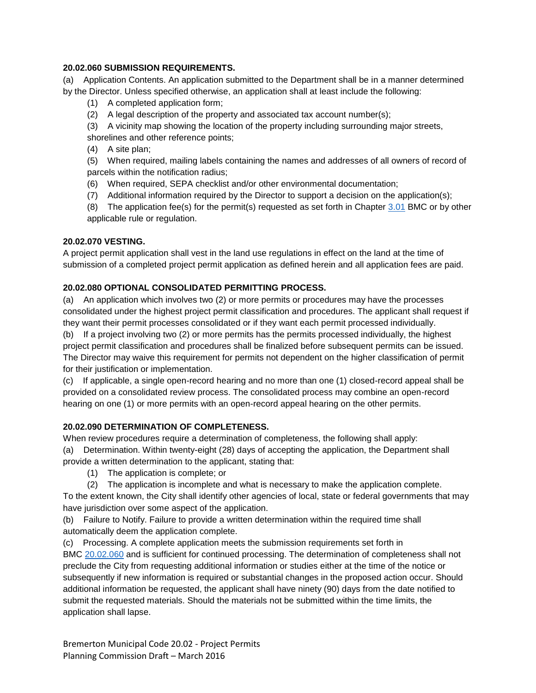#### **20.02.060 SUBMISSION REQUIREMENTS.**

(a) Application Contents. An application submitted to the Department shall be in a manner determined by the Director. Unless specified otherwise, an application shall at least include the following:

- (1) A completed application form;
- (2) A legal description of the property and associated tax account number(s);

(3) A vicinity map showing the location of the property including surrounding major streets, shorelines and other reference points;

(4) A site plan;

(5) When required, mailing labels containing the names and addresses of all owners of record of parcels within the notification radius;

- (6) When required, SEPA checklist and/or other environmental documentation;
- (7) Additional information required by the Director to support a decision on the application(s);

(8) The application fee(s) for the permit(s) requested as set forth in Chapter  $3.01$  BMC or by other applicable rule or regulation.

#### **20.02.070 VESTING.**

A project permit application shall vest in the land use regulations in effect on the land at the time of submission of a completed project permit application as defined herein and all application fees are paid.

#### **20.02.080 OPTIONAL CONSOLIDATED PERMITTING PROCESS.**

(a) An application which involves two (2) or more permits or procedures may have the processes consolidated under the highest project permit classification and procedures. The applicant shall request if they want their permit processes consolidated or if they want each permit processed individually.

(b) If a project involving two (2) or more permits has the permits processed individually, the highest project permit classification and procedures shall be finalized before subsequent permits can be issued. The Director may waive this requirement for permits not dependent on the higher classification of permit for their justification or implementation.

(c) If applicable, a single open-record hearing and no more than one (1) closed-record appeal shall be provided on a consolidated review process. The consolidated process may combine an open-record hearing on one (1) or more permits with an open-record appeal hearing on the other permits.

#### **20.02.090 DETERMINATION OF COMPLETENESS.**

When review procedures require a determination of completeness, the following shall apply: (a) Determination. Within twenty-eight (28) days of accepting the application, the Department shall provide a written determination to the applicant, stating that:

- (1) The application is complete; or
- (2) The application is incomplete and what is necessary to make the application complete.

To the extent known, the City shall identify other agencies of local, state or federal governments that may have jurisdiction over some aspect of the application.

(b) Failure to Notify. Failure to provide a written determination within the required time shall automatically deem the application complete.

(c) Processing. A complete application meets the submission requirements set forth in BMC [20.02.060](http://www.codepublishing.com/wa/Bremerton/html/Bremerton20/Bremerton2002.html#20.02.060) and is sufficient for continued processing. The determination of completeness shall not preclude the City from requesting additional information or studies either at the time of the notice or subsequently if new information is required or substantial changes in the proposed action occur. Should additional information be requested, the applicant shall have ninety (90) days from the date notified to submit the requested materials. Should the materials not be submitted within the time limits, the application shall lapse.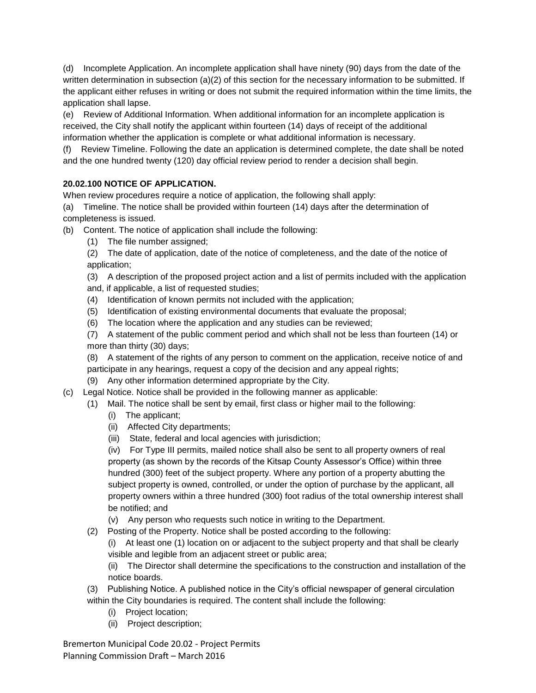(d) Incomplete Application. An incomplete application shall have ninety (90) days from the date of the written determination in subsection (a)(2) of this section for the necessary information to be submitted. If the applicant either refuses in writing or does not submit the required information within the time limits, the application shall lapse.

(e) Review of Additional Information. When additional information for an incomplete application is received, the City shall notify the applicant within fourteen (14) days of receipt of the additional information whether the application is complete or what additional information is necessary.

(f) Review Timeline. Following the date an application is determined complete, the date shall be noted and the one hundred twenty (120) day official review period to render a decision shall begin.

# **20.02.100 NOTICE OF APPLICATION.**

When review procedures require a notice of application, the following shall apply:

(a) Timeline. The notice shall be provided within fourteen (14) days after the determination of completeness is issued.

(b) Content. The notice of application shall include the following:

(1) The file number assigned;

(2) The date of application, date of the notice of completeness, and the date of the notice of application;

(3) A description of the proposed project action and a list of permits included with the application and, if applicable, a list of requested studies;

- (4) Identification of known permits not included with the application;
- (5) Identification of existing environmental documents that evaluate the proposal;
- (6) The location where the application and any studies can be reviewed;

(7) A statement of the public comment period and which shall not be less than fourteen (14) or more than thirty (30) days;

(8) A statement of the rights of any person to comment on the application, receive notice of and participate in any hearings, request a copy of the decision and any appeal rights;

- (9) Any other information determined appropriate by the City.
- (c) Legal Notice. Notice shall be provided in the following manner as applicable:
	- (1) Mail. The notice shall be sent by email, first class or higher mail to the following:
		- (i) The applicant;
		- (ii) Affected City departments;
		- (iii) State, federal and local agencies with jurisdiction;

(iv) For Type III permits, mailed notice shall also be sent to all property owners of real property (as shown by the records of the Kitsap County Assessor's Office) within three hundred (300) feet of the subject property. Where any portion of a property abutting the subject property is owned, controlled, or under the option of purchase by the applicant, all property owners within a three hundred (300) foot radius of the total ownership interest shall be notified; and

(v) Any person who requests such notice in writing to the Department.

(2) Posting of the Property. Notice shall be posted according to the following:

(i) At least one (1) location on or adjacent to the subject property and that shall be clearly visible and legible from an adjacent street or public area;

(ii) The Director shall determine the specifications to the construction and installation of the notice boards.

(3) Publishing Notice. A published notice in the City's official newspaper of general circulation within the City boundaries is required. The content shall include the following:

- (i) Project location;
- (ii) Project description;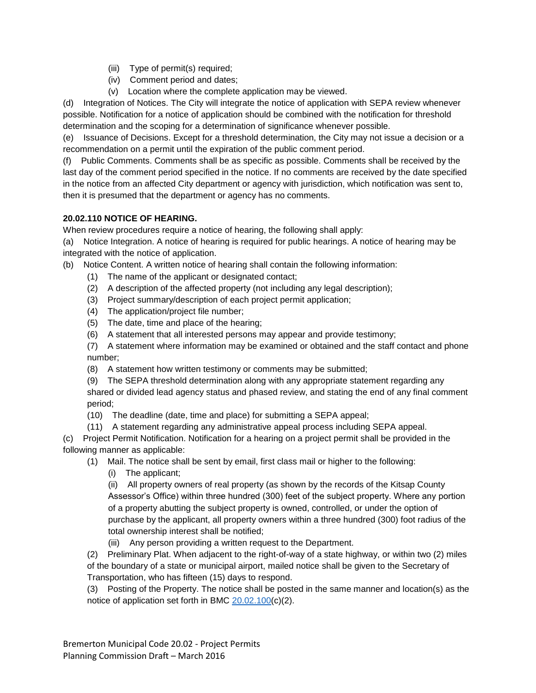- (iii) Type of permit(s) required;
- (iv) Comment period and dates;
- (v) Location where the complete application may be viewed.

(d) Integration of Notices. The City will integrate the notice of application with SEPA review whenever possible. Notification for a notice of application should be combined with the notification for threshold determination and the scoping for a determination of significance whenever possible.

(e) Issuance of Decisions. Except for a threshold determination, the City may not issue a decision or a recommendation on a permit until the expiration of the public comment period.

(f) Public Comments. Comments shall be as specific as possible. Comments shall be received by the last day of the comment period specified in the notice. If no comments are received by the date specified in the notice from an affected City department or agency with jurisdiction, which notification was sent to, then it is presumed that the department or agency has no comments.

# **20.02.110 NOTICE OF HEARING.**

When review procedures require a notice of hearing, the following shall apply:

(a) Notice Integration. A notice of hearing is required for public hearings. A notice of hearing may be integrated with the notice of application.

(b) Notice Content. A written notice of hearing shall contain the following information:

- (1) The name of the applicant or designated contact;
- (2) A description of the affected property (not including any legal description);
- (3) Project summary/description of each project permit application;
- (4) The application/project file number;
- (5) The date, time and place of the hearing;
- (6) A statement that all interested persons may appear and provide testimony;

(7) A statement where information may be examined or obtained and the staff contact and phone number;

(8) A statement how written testimony or comments may be submitted;

(9) The SEPA threshold determination along with any appropriate statement regarding any shared or divided lead agency status and phased review, and stating the end of any final comment period;

(10) The deadline (date, time and place) for submitting a SEPA appeal;

(11) A statement regarding any administrative appeal process including SEPA appeal.

(c) Project Permit Notification. Notification for a hearing on a project permit shall be provided in the following manner as applicable:

(1) Mail. The notice shall be sent by email, first class mail or higher to the following:

(i) The applicant;

(ii) All property owners of real property (as shown by the records of the Kitsap County Assessor's Office) within three hundred (300) feet of the subject property. Where any portion of a property abutting the subject property is owned, controlled, or under the option of purchase by the applicant, all property owners within a three hundred (300) foot radius of the total ownership interest shall be notified;

(iii) Any person providing a written request to the Department.

(2) Preliminary Plat. When adjacent to the right-of-way of a state highway, or within two (2) miles of the boundary of a state or municipal airport, mailed notice shall be given to the Secretary of Transportation, who has fifteen (15) days to respond.

(3) Posting of the Property. The notice shall be posted in the same manner and location(s) as the notice of application set forth in BMC [20.02.100\(](http://www.codepublishing.com/wa/Bremerton/html/Bremerton20/Bremerton2002.html#20.02.100)c)(2).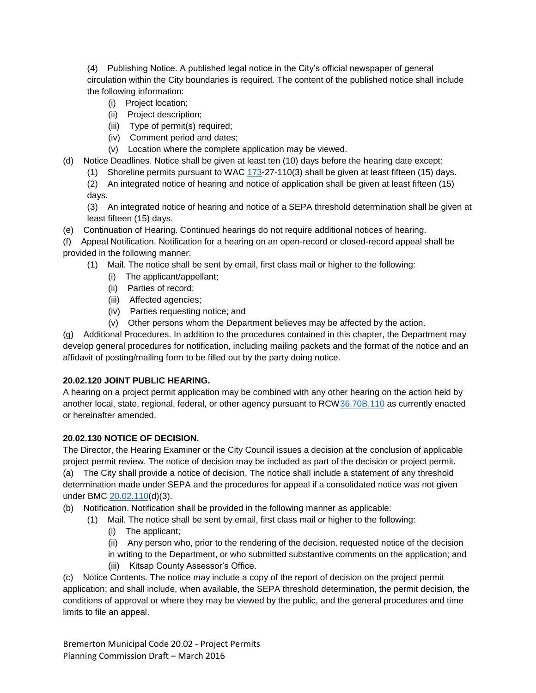(4) Publishing Notice. A published legal notice in the City's official newspaper of general circulation within the City boundaries is required. The content of the published notice shall include the following information:

- (i) Project location;
- (ii) Project description;
- (iii) Type of permit(s) required;
- (iv) Comment period and dates;
- (v) Location where the complete application may be viewed.
- (d) Notice Deadlines. Notice shall be given at least ten (10) days before the hearing date except:
	- (1) Shoreline permits pursuant to WAC  $173-27-110(3)$  $173-27-110(3)$  shall be given at least fifteen (15) days.
	- (2) An integrated notice of hearing and notice of application shall be given at least fifteen (15) days.

(3) An integrated notice of hearing and notice of a SEPA threshold determination shall be given at least fifteen (15) days.

(e) Continuation of Hearing. Continued hearings do not require additional notices of hearing.

(f) Appeal Notification. Notification for a hearing on an open-record or closed-record appeal shall be provided in the following manner:

(1) Mail. The notice shall be sent by email, first class mail or higher to the following:

- (i) The applicant/appellant;
- (ii) Parties of record;
- (iii) Affected agencies;
- (iv) Parties requesting notice; and
- (v) Other persons whom the Department believes may be affected by the action.

(g) Additional Procedures. In addition to the procedures contained in this chapter, the Department may develop general procedures for notification, including mailing packets and the format of the notice and an affidavit of posting/mailing form to be filled out by the party doing notice.

### **20.02.120 JOINT PUBLIC HEARING.**

A hearing on a project permit application may be combined with any other hearing on the action held by another local, state, regional, federal, or other agency pursuant to RC[W36.70B.110](http://www.codepublishing.com/cgi-bin/rcw.pl?cite=36.70B.110) as currently enacted or hereinafter amended.

## **20.02.130 NOTICE OF DECISION.**

The Director, the Hearing Examiner or the City Council issues a decision at the conclusion of applicable project permit review. The notice of decision may be included as part of the decision or project permit. (a) The City shall provide a notice of decision. The notice shall include a statement of any threshold determination made under SEPA and the procedures for appeal if a consolidated notice was not given under BMC [20.02.110\(](http://www.codepublishing.com/wa/Bremerton/html/Bremerton20/Bremerton2002.html#20.02.110)d)(3).

- (b) Notification. Notification shall be provided in the following manner as applicable:
	- (1) Mail. The notice shall be sent by email, first class mail or higher to the following:
		- (i) The applicant;

(ii) Any person who, prior to the rendering of the decision, requested notice of the decision in writing to the Department, or who submitted substantive comments on the application; and (iii) Kitsap County Assessor's Office.

(c) Notice Contents. The notice may include a copy of the report of decision on the project permit application; and shall include, when available, the SEPA threshold determination, the permit decision, the conditions of approval or where they may be viewed by the public, and the general procedures and time limits to file an appeal.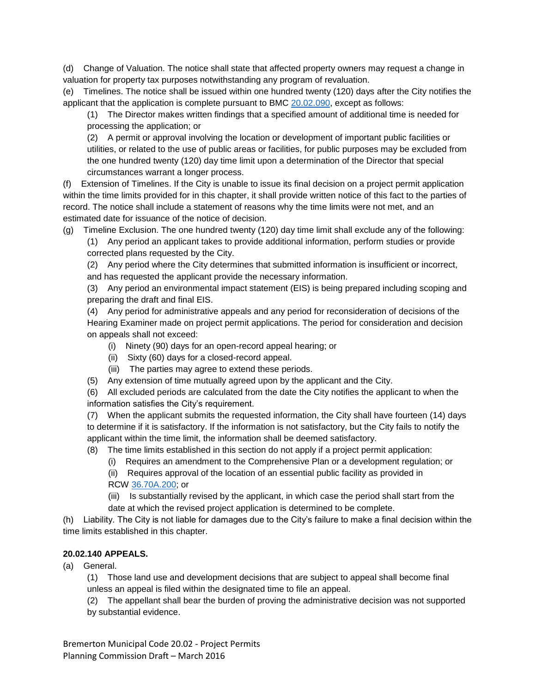(d) Change of Valuation. The notice shall state that affected property owners may request a change in valuation for property tax purposes notwithstanding any program of revaluation.

(e) Timelines. The notice shall be issued within one hundred twenty (120) days after the City notifies the applicant that the application is complete pursuant to BMC [20.02.090,](http://www.codepublishing.com/wa/Bremerton/html/Bremerton20/Bremerton2002.html#20.02.090) except as follows:

(1) The Director makes written findings that a specified amount of additional time is needed for processing the application; or

(2) A permit or approval involving the location or development of important public facilities or utilities, or related to the use of public areas or facilities, for public purposes may be excluded from the one hundred twenty (120) day time limit upon a determination of the Director that special circumstances warrant a longer process.

(f) Extension of Timelines. If the City is unable to issue its final decision on a project permit application within the time limits provided for in this chapter, it shall provide written notice of this fact to the parties of record. The notice shall include a statement of reasons why the time limits were not met, and an estimated date for issuance of the notice of decision.

(g) Timeline Exclusion. The one hundred twenty (120) day time limit shall exclude any of the following:

(1) Any period an applicant takes to provide additional information, perform studies or provide corrected plans requested by the City.

(2) Any period where the City determines that submitted information is insufficient or incorrect, and has requested the applicant provide the necessary information.

(3) Any period an environmental impact statement (EIS) is being prepared including scoping and preparing the draft and final EIS.

(4) Any period for administrative appeals and any period for reconsideration of decisions of the Hearing Examiner made on project permit applications. The period for consideration and decision on appeals shall not exceed:

- (i) Ninety (90) days for an open-record appeal hearing; or
- (ii) Sixty (60) days for a closed-record appeal.
- (iii) The parties may agree to extend these periods.
- (5) Any extension of time mutually agreed upon by the applicant and the City.

(6) All excluded periods are calculated from the date the City notifies the applicant to when the information satisfies the City's requirement.

(7) When the applicant submits the requested information, the City shall have fourteen (14) days to determine if it is satisfactory. If the information is not satisfactory, but the City fails to notify the applicant within the time limit, the information shall be deemed satisfactory.

(8) The time limits established in this section do not apply if a project permit application:

- (i) Requires an amendment to the Comprehensive Plan or a development regulation; or
- (ii) Requires approval of the location of an essential public facility as provided in RCW [36.70A.200;](http://www.codepublishing.com/cgi-bin/rcw.pl?cite=36.70A.200) or

(iii) Is substantially revised by the applicant, in which case the period shall start from the date at which the revised project application is determined to be complete.

(h) Liability. The City is not liable for damages due to the City's failure to make a final decision within the time limits established in this chapter.

# **20.02.140 APPEALS.**

(a) General.

(1) Those land use and development decisions that are subject to appeal shall become final unless an appeal is filed within the designated time to file an appeal.

(2) The appellant shall bear the burden of proving the administrative decision was not supported by substantial evidence.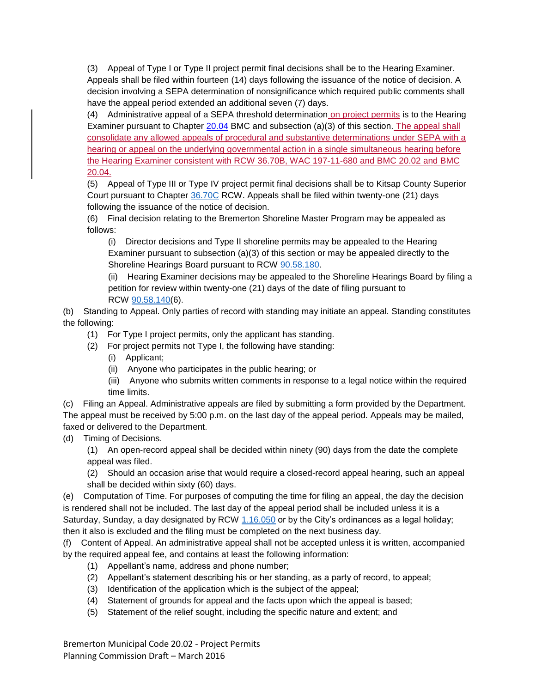(3) Appeal of Type I or Type II project permit final decisions shall be to the Hearing Examiner. Appeals shall be filed within fourteen (14) days following the issuance of the notice of decision. A decision involving a SEPA determination of nonsignificance which required public comments shall have the appeal period extended an additional seven (7) days.

(4) Administrative appeal of a SEPA threshold determination on project permits is to the Hearing Examiner pursuant to Chapter [20.04](http://www.codepublishing.com/WA/Bremerton/#!/Bremerton20/Bremerton2004.html#20.04) BMC and subsection (a)(3) of this section. The appeal shall consolidate any allowed appeals of procedural and substantive determinations under SEPA with a hearing or appeal on the underlying governmental action in a single simultaneous hearing before the Hearing Examiner consistent with RCW 36.70B, WAC 197-11-680 and BMC 20.02 and BMC 20.04.

(5) Appeal of Type III or Type IV project permit final decisions shall be to Kitsap County Superior Court pursuant to Chapter [36.70C](http://www.codepublishing.com/cgi-bin/rcw.pl?cite=36.70C) RCW. Appeals shall be filed within twenty-one (21) days following the issuance of the notice of decision.

(6) Final decision relating to the Bremerton Shoreline Master Program may be appealed as follows:

(i) Director decisions and Type II shoreline permits may be appealed to the Hearing Examiner pursuant to subsection (a)(3) of this section or may be appealed directly to the Shoreline Hearings Board pursuant to RCW [90.58.180.](http://www.codepublishing.com/cgi-bin/rcw.pl?cite=90.58.180)

(ii) Hearing Examiner decisions may be appealed to the Shoreline Hearings Board by filing a petition for review within twenty-one (21) days of the date of filing pursuant to RCW [90.58.140\(](http://www.codepublishing.com/cgi-bin/rcw.pl?cite=90.58.140)6).

(b) Standing to Appeal. Only parties of record with standing may initiate an appeal. Standing constitutes the following:

- (1) For Type I project permits, only the applicant has standing.
- (2) For project permits not Type I, the following have standing:
	- (i) Applicant;
	- (ii) Anyone who participates in the public hearing; or
	- (iii) Anyone who submits written comments in response to a legal notice within the required time limits.

(c) Filing an Appeal. Administrative appeals are filed by submitting a form provided by the Department. The appeal must be received by 5:00 p.m. on the last day of the appeal period. Appeals may be mailed, faxed or delivered to the Department.

(d) Timing of Decisions.

(1) An open-record appeal shall be decided within ninety (90) days from the date the complete appeal was filed.

(2) Should an occasion arise that would require a closed-record appeal hearing, such an appeal shall be decided within sixty (60) days.

(e) Computation of Time. For purposes of computing the time for filing an appeal, the day the decision is rendered shall not be included. The last day of the appeal period shall be included unless it is a Saturday, Sunday, a day designated by RCW [1.16.050](http://www.codepublishing.com/cgi-bin/rcw.pl?cite=1.16.050) or by the City's ordinances as a legal holiday; then it also is excluded and the filing must be completed on the next business day.

(f) Content of Appeal. An administrative appeal shall not be accepted unless it is written, accompanied by the required appeal fee, and contains at least the following information:

- (1) Appellant's name, address and phone number;
- (2) Appellant's statement describing his or her standing, as a party of record, to appeal;
- (3) Identification of the application which is the subject of the appeal;
- (4) Statement of grounds for appeal and the facts upon which the appeal is based;
- (5) Statement of the relief sought, including the specific nature and extent; and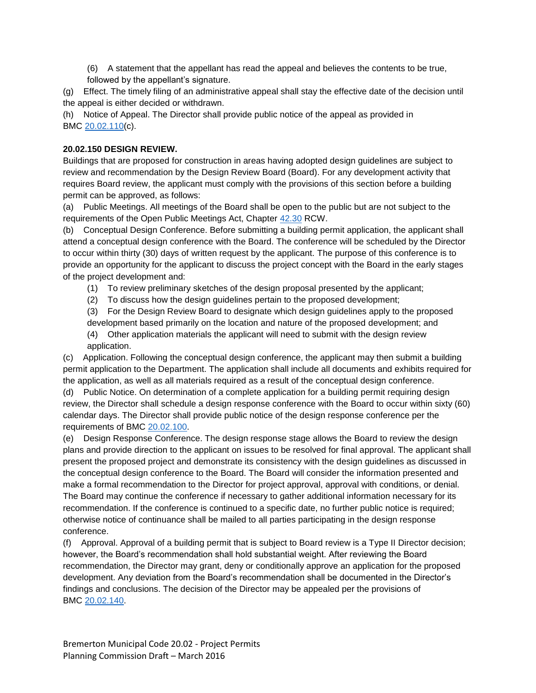(6) A statement that the appellant has read the appeal and believes the contents to be true, followed by the appellant's signature.

(g) Effect. The timely filing of an administrative appeal shall stay the effective date of the decision until the appeal is either decided or withdrawn.

(h) Notice of Appeal. The Director shall provide public notice of the appeal as provided in BMC [20.02.110\(](http://www.codepublishing.com/wa/Bremerton/html/Bremerton20/Bremerton2002.html#20.02.110)c).

#### **20.02.150 DESIGN REVIEW.**

Buildings that are proposed for construction in areas having adopted design guidelines are subject to review and recommendation by the Design Review Board (Board). For any development activity that requires Board review, the applicant must comply with the provisions of this section before a building permit can be approved, as follows:

(a) Public Meetings. All meetings of the Board shall be open to the public but are not subject to the requirements of the Open Public Meetings Act, Chapter [42.30](http://www.codepublishing.com/cgi-bin/rcw.pl?cite=42.30) RCW.

(b) Conceptual Design Conference. Before submitting a building permit application, the applicant shall attend a conceptual design conference with the Board. The conference will be scheduled by the Director to occur within thirty (30) days of written request by the applicant. The purpose of this conference is to provide an opportunity for the applicant to discuss the project concept with the Board in the early stages of the project development and:

- (1) To review preliminary sketches of the design proposal presented by the applicant;
- (2) To discuss how the design guidelines pertain to the proposed development;

(3) For the Design Review Board to designate which design guidelines apply to the proposed development based primarily on the location and nature of the proposed development; and

(4) Other application materials the applicant will need to submit with the design review application.

(c) Application. Following the conceptual design conference, the applicant may then submit a building permit application to the Department. The application shall include all documents and exhibits required for the application, as well as all materials required as a result of the conceptual design conference.

(d) Public Notice. On determination of a complete application for a building permit requiring design review, the Director shall schedule a design response conference with the Board to occur within sixty (60) calendar days. The Director shall provide public notice of the design response conference per the requirements of BMC [20.02.100.](http://www.codepublishing.com/wa/Bremerton/html/Bremerton20/Bremerton2002.html#20.02.100)

(e) Design Response Conference. The design response stage allows the Board to review the design plans and provide direction to the applicant on issues to be resolved for final approval. The applicant shall present the proposed project and demonstrate its consistency with the design guidelines as discussed in the conceptual design conference to the Board. The Board will consider the information presented and make a formal recommendation to the Director for project approval, approval with conditions, or denial. The Board may continue the conference if necessary to gather additional information necessary for its recommendation. If the conference is continued to a specific date, no further public notice is required; otherwise notice of continuance shall be mailed to all parties participating in the design response conference.

(f) Approval. Approval of a building permit that is subject to Board review is a Type II Director decision; however, the Board's recommendation shall hold substantial weight. After reviewing the Board recommendation, the Director may grant, deny or conditionally approve an application for the proposed development. Any deviation from the Board's recommendation shall be documented in the Director's findings and conclusions. The decision of the Director may be appealed per the provisions of BMC [20.02.140.](http://www.codepublishing.com/wa/Bremerton/html/Bremerton20/Bremerton2002.html#20.02.140)